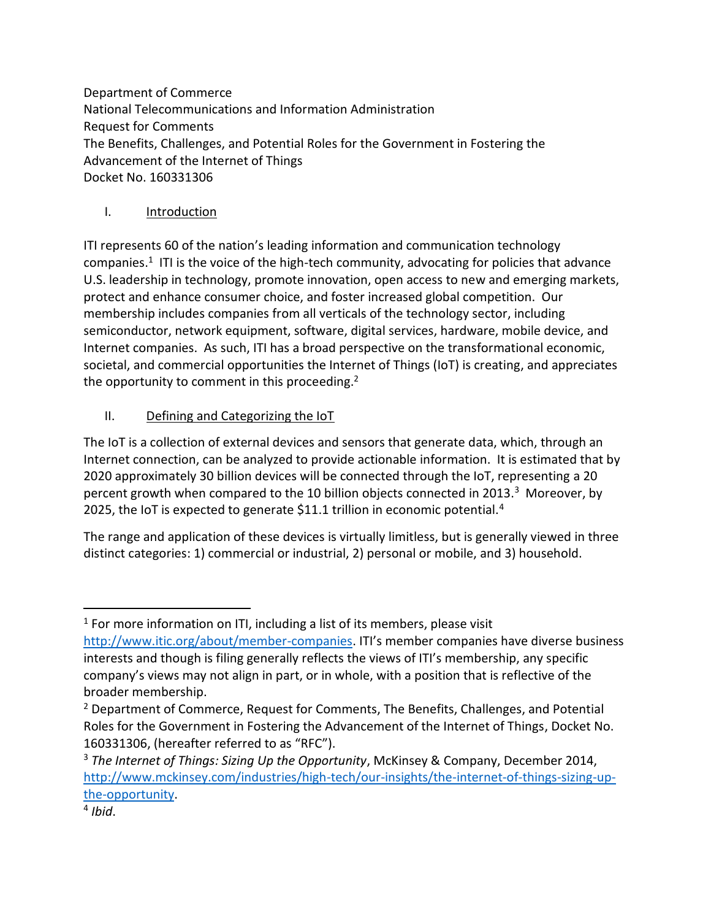Department of Commerce National Telecommunications and Information Administration Request for Comments The Benefits, Challenges, and Potential Roles for the Government in Fostering the Advancement of the Internet of Things Docket No. 160331306

## I. Introduction

ITI represents 60 of the nation's leading information and communication technology companies.<sup>1</sup> ITI is the voice of the high-tech community, advocating for policies that advance U.S. leadership in technology, promote innovation, open access to new and emerging markets, protect and enhance consumer choice, and foster increased global competition. Our membership includes companies from all verticals of the technology sector, including semiconductor, network equipment, software, digital services, hardware, mobile device, and Internet companies. As such, ITI has a broad perspective on the transformational economic, societal, and commercial opportunities the Internet of Things (IoT) is creating, and appreciates the opportunity to comment in this proceeding.<sup>2</sup>

# II. Defining and Categorizing the IoT

The IoT is a collection of external devices and sensors that generate data, which, through an Internet connection, can be analyzed to provide actionable information. It is estimated that by 2020 approximately 30 billion devices will be connected through the IoT, representing a 20 percent growth when compared to the 10 billion objects connected in 2013.<sup>3</sup> Moreover, by 2025, the IoT is expected to generate \$11.1 trillion in economic potential.<sup>4</sup>

The range and application of these devices is virtually limitless, but is generally viewed in three distinct categories: 1) commercial or industrial, 2) personal or mobile, and 3) household.

<sup>&</sup>lt;sup>1</sup> For more information on ITI, including a list of its members, please visit [http://www.itic.org/about/member-companies.](http://www.itic.org/about/member-com%20panies) ITI's member companies have diverse business interests and though is filing generally reflects the views of ITI's membership, any specific company's views may not align in part, or in whole, with a position that is reflective of the broader membership.

<sup>&</sup>lt;sup>2</sup> Department of Commerce, Request for Comments, The Benefits, Challenges, and Potential Roles for the Government in Fostering the Advancement of the Internet of Things, Docket No. 160331306, (hereafter referred to as "RFC").

<sup>3</sup> *The Internet of Things: Sizing Up the Opportunity*, McKinsey & Company, December 2014, [http://www.mckinsey.com/industries/high-tech/our-insights/the-internet-of-things-sizing-up](http://www.mckinsey.com/industries/high-tech/our-insights/the-internet-of-things-sizing-up-the-opportunity)[the-opportunity.](http://www.mckinsey.com/industries/high-tech/our-insights/the-internet-of-things-sizing-up-the-opportunity)

<sup>4</sup> *Ibid*.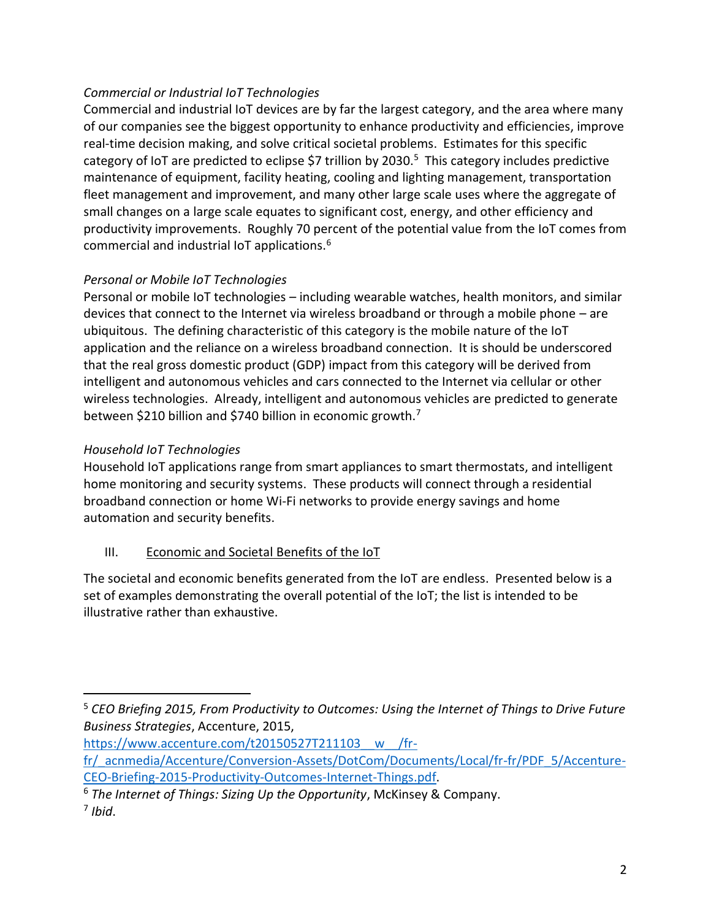### *Commercial or Industrial IoT Technologies*

Commercial and industrial IoT devices are by far the largest category, and the area where many of our companies see the biggest opportunity to enhance productivity and efficiencies, improve real-time decision making, and solve critical societal problems. Estimates for this specific category of IoT are predicted to eclipse \$7 trillion by 2030.<sup>5</sup> This category includes predictive maintenance of equipment, facility heating, cooling and lighting management, transportation fleet management and improvement, and many other large scale uses where the aggregate of small changes on a large scale equates to significant cost, energy, and other efficiency and productivity improvements. Roughly 70 percent of the potential value from the IoT comes from commercial and industrial IoT applications.<sup>6</sup>

### *Personal or Mobile IoT Technologies*

Personal or mobile IoT technologies – including wearable watches, health monitors, and similar devices that connect to the Internet via wireless broadband or through a mobile phone – are ubiquitous. The defining characteristic of this category is the mobile nature of the IoT application and the reliance on a wireless broadband connection. It is should be underscored that the real gross domestic product (GDP) impact from this category will be derived from intelligent and autonomous vehicles and cars connected to the Internet via cellular or other wireless technologies. Already, intelligent and autonomous vehicles are predicted to generate between \$210 billion and \$740 billion in economic growth.<sup>7</sup>

### *Household IoT Technologies*

 $\overline{a}$ 

Household IoT applications range from smart appliances to smart thermostats, and intelligent home monitoring and security systems. These products will connect through a residential broadband connection or home Wi-Fi networks to provide energy savings and home automation and security benefits.

### III. Economic and Societal Benefits of the IoT

The societal and economic benefits generated from the IoT are endless. Presented below is a set of examples demonstrating the overall potential of the IoT; the list is intended to be illustrative rather than exhaustive.

<sup>5</sup> *CEO Briefing 2015, From Productivity to Outcomes: Using the Internet of Things to Drive Future Business Strategies*, Accenture, 2015,

[https://www.accenture.com/t20150527T211103\\_\\_w\\_\\_/fr-](https://www.accenture.com/t20150527T211103__w__/fr-fr/_acnmedia/Accenture/Conversion-Assets/DotCom/Documents/Local/fr-fr/PDF_5/Accenture-CEO-Briefing-2015-Productivity-Outcomes-Internet-Things.pdf)

[fr/\\_acnmedia/Accenture/Conversion-Assets/DotCom/Documents/Local/fr-fr/PDF\\_5/Accenture-](https://www.accenture.com/t20150527T211103__w__/fr-fr/_acnmedia/Accenture/Conversion-Assets/DotCom/Documents/Local/fr-fr/PDF_5/Accenture-CEO-Briefing-2015-Productivity-Outcomes-Internet-Things.pdf)[CEO-Briefing-2015-Productivity-Outcomes-Internet-Things.pdf.](https://www.accenture.com/t20150527T211103__w__/fr-fr/_acnmedia/Accenture/Conversion-Assets/DotCom/Documents/Local/fr-fr/PDF_5/Accenture-CEO-Briefing-2015-Productivity-Outcomes-Internet-Things.pdf)

<sup>6</sup> *The Internet of Things: Sizing Up the Opportunity*, McKinsey & Company. 7 *Ibid*.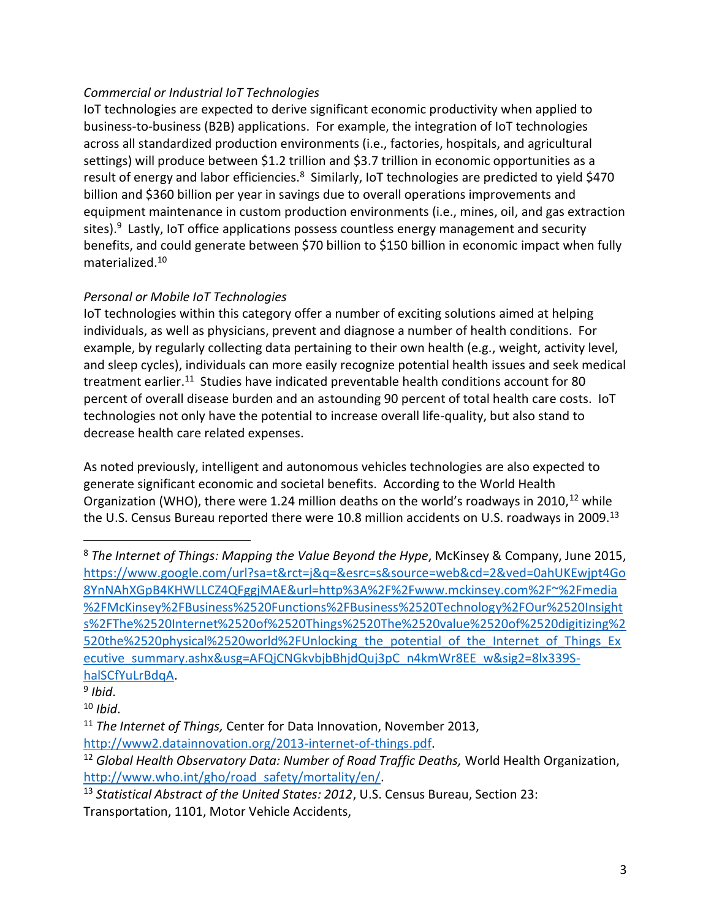### *Commercial or Industrial IoT Technologies*

IoT technologies are expected to derive significant economic productivity when applied to business-to-business (B2B) applications. For example, the integration of IoT technologies across all standardized production environments (i.e., factories, hospitals, and agricultural settings) will produce between \$1.2 trillion and \$3.7 trillion in economic opportunities as a result of energy and labor efficiencies.<sup>8</sup> Similarly, IoT technologies are predicted to yield \$470 billion and \$360 billion per year in savings due to overall operations improvements and equipment maintenance in custom production environments (i.e., mines, oil, and gas extraction sites).<sup>9</sup> Lastly, IoT office applications possess countless energy management and security benefits, and could generate between \$70 billion to \$150 billion in economic impact when fully materialized.<sup>10</sup>

### *Personal or Mobile IoT Technologies*

IoT technologies within this category offer a number of exciting solutions aimed at helping individuals, as well as physicians, prevent and diagnose a number of health conditions. For example, by regularly collecting data pertaining to their own health (e.g., weight, activity level, and sleep cycles), individuals can more easily recognize potential health issues and seek medical treatment earlier.<sup>11</sup> Studies have indicated preventable health conditions account for 80 percent of overall disease burden and an astounding 90 percent of total health care costs. IoT technologies not only have the potential to increase overall life-quality, but also stand to decrease health care related expenses.

As noted previously, intelligent and autonomous vehicles technologies are also expected to generate significant economic and societal benefits. According to the World Health Organization (WHO), there were 1.24 million deaths on the world's roadways in 2010,<sup>12</sup> while the U.S. Census Bureau reported there were 10.8 million accidents on U.S. roadways in 2009.<sup>13</sup>

<sup>8</sup> *The Internet of Things: Mapping the Value Beyond the Hype*, McKinsey & Company, June 2015, [https://www.google.com/url?sa=t&rct=j&q=&esrc=s&source=web&cd=2&ved=0ahUKEwjpt4Go](https://www.google.com/url?sa=t&rct=j&q=&esrc=s&source=web&cd=2&ved=0ahUKEwjpt4Go8YnNAhXGpB4KHWLLCZ4QFggjMAE&url=http%3A%2F%2Fwww.mckinsey.com%2F~%2Fmedia%2FMcKinsey%2FBusiness%2520Functions%2FBusiness%2520Technology%2FOur%2520Insights%2FThe%2520Internet%2520of%2520Things%2520The%2520value%2520of%2520digitizing%2520the%2520physical%2520world%2FUnlocking_the_potential_of_the_Internet_of_Things_Executive_summary.ashx&usg=AFQjCNGkvbjbBhjdQuj3pC_n4kmWr8EE_w&sig2=8lx339S-halSCfYuLrBdqA) [8YnNAhXGpB4KHWLLCZ4QFggjMAE&url=http%3A%2F%2Fwww.mckinsey.com%2F~%2Fmedia](https://www.google.com/url?sa=t&rct=j&q=&esrc=s&source=web&cd=2&ved=0ahUKEwjpt4Go8YnNAhXGpB4KHWLLCZ4QFggjMAE&url=http%3A%2F%2Fwww.mckinsey.com%2F~%2Fmedia%2FMcKinsey%2FBusiness%2520Functions%2FBusiness%2520Technology%2FOur%2520Insights%2FThe%2520Internet%2520of%2520Things%2520The%2520value%2520of%2520digitizing%2520the%2520physical%2520world%2FUnlocking_the_potential_of_the_Internet_of_Things_Executive_summary.ashx&usg=AFQjCNGkvbjbBhjdQuj3pC_n4kmWr8EE_w&sig2=8lx339S-halSCfYuLrBdqA) [%2FMcKinsey%2FBusiness%2520Functions%2FBusiness%2520Technology%2FOur%2520Insight](https://www.google.com/url?sa=t&rct=j&q=&esrc=s&source=web&cd=2&ved=0ahUKEwjpt4Go8YnNAhXGpB4KHWLLCZ4QFggjMAE&url=http%3A%2F%2Fwww.mckinsey.com%2F~%2Fmedia%2FMcKinsey%2FBusiness%2520Functions%2FBusiness%2520Technology%2FOur%2520Insights%2FThe%2520Internet%2520of%2520Things%2520The%2520value%2520of%2520digitizing%2520the%2520physical%2520world%2FUnlocking_the_potential_of_the_Internet_of_Things_Executive_summary.ashx&usg=AFQjCNGkvbjbBhjdQuj3pC_n4kmWr8EE_w&sig2=8lx339S-halSCfYuLrBdqA) [s%2FThe%2520Internet%2520of%2520Things%2520The%2520value%2520of%2520digitizing%2](https://www.google.com/url?sa=t&rct=j&q=&esrc=s&source=web&cd=2&ved=0ahUKEwjpt4Go8YnNAhXGpB4KHWLLCZ4QFggjMAE&url=http%3A%2F%2Fwww.mckinsey.com%2F~%2Fmedia%2FMcKinsey%2FBusiness%2520Functions%2FBusiness%2520Technology%2FOur%2520Insights%2FThe%2520Internet%2520of%2520Things%2520The%2520value%2520of%2520digitizing%2520the%2520physical%2520world%2FUnlocking_the_potential_of_the_Internet_of_Things_Executive_summary.ashx&usg=AFQjCNGkvbjbBhjdQuj3pC_n4kmWr8EE_w&sig2=8lx339S-halSCfYuLrBdqA) 520the%2520physical%2520world%2FUnlocking the potential of the Internet of Things Ex [ecutive\\_summary.ashx&usg=AFQjCNGkvbjbBhjdQuj3pC\\_n4kmWr8EE\\_w&sig2=8lx339S](https://www.google.com/url?sa=t&rct=j&q=&esrc=s&source=web&cd=2&ved=0ahUKEwjpt4Go8YnNAhXGpB4KHWLLCZ4QFggjMAE&url=http%3A%2F%2Fwww.mckinsey.com%2F~%2Fmedia%2FMcKinsey%2FBusiness%2520Functions%2FBusiness%2520Technology%2FOur%2520Insights%2FThe%2520Internet%2520of%2520Things%2520The%2520value%2520of%2520digitizing%2520the%2520physical%2520world%2FUnlocking_the_potential_of_the_Internet_of_Things_Executive_summary.ashx&usg=AFQjCNGkvbjbBhjdQuj3pC_n4kmWr8EE_w&sig2=8lx339S-halSCfYuLrBdqA)[halSCfYuLrBdqA.](https://www.google.com/url?sa=t&rct=j&q=&esrc=s&source=web&cd=2&ved=0ahUKEwjpt4Go8YnNAhXGpB4KHWLLCZ4QFggjMAE&url=http%3A%2F%2Fwww.mckinsey.com%2F~%2Fmedia%2FMcKinsey%2FBusiness%2520Functions%2FBusiness%2520Technology%2FOur%2520Insights%2FThe%2520Internet%2520of%2520Things%2520The%2520value%2520of%2520digitizing%2520the%2520physical%2520world%2FUnlocking_the_potential_of_the_Internet_of_Things_Executive_summary.ashx&usg=AFQjCNGkvbjbBhjdQuj3pC_n4kmWr8EE_w&sig2=8lx339S-halSCfYuLrBdqA)

<sup>9</sup> *Ibid*.

<sup>10</sup> *Ibid*.

<sup>11</sup> *The Internet of Things,* Center for Data Innovation, November 2013, [http://www2.datainnovation.org/2013-internet-of-things.pdf.](http://www2.datainnovation.org/2013-internet-of-things.pdf)

<sup>12</sup> *Global Health Observatory Data: Number of Road Traffic Deaths,* World Health Organization, [http://www.who.int/gho/road\\_safety/mortality/en/.](http://www.who.int/gho/road_safety/mortality/en/)

<sup>13</sup> *Statistical Abstract of the United States: 2012*, U.S. Census Bureau, Section 23: Transportation, 1101, Motor Vehicle Accidents,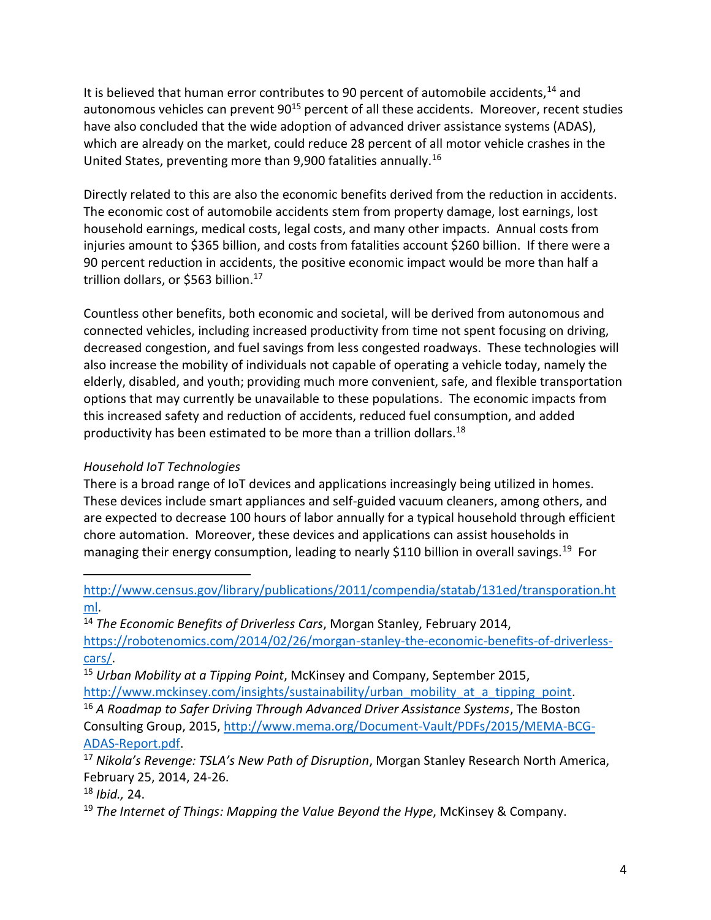It is believed that human error contributes to 90 percent of automobile accidents,<sup>14</sup> and autonomous vehicles can prevent 90<sup>15</sup> percent of all these accidents. Moreover, recent studies have also concluded that the wide adoption of advanced driver assistance systems (ADAS), which are already on the market, could reduce 28 percent of all motor vehicle crashes in the United States, preventing more than 9,900 fatalities annually.<sup>16</sup>

Directly related to this are also the economic benefits derived from the reduction in accidents. The economic cost of automobile accidents stem from property damage, lost earnings, lost household earnings, medical costs, legal costs, and many other impacts. Annual costs from injuries amount to \$365 billion, and costs from fatalities account \$260 billion. If there were a 90 percent reduction in accidents, the positive economic impact would be more than half a trillion dollars, or \$563 billion.<sup>17</sup>

Countless other benefits, both economic and societal, will be derived from autonomous and connected vehicles, including increased productivity from time not spent focusing on driving, decreased congestion, and fuel savings from less congested roadways. These technologies will also increase the mobility of individuals not capable of operating a vehicle today, namely the elderly, disabled, and youth; providing much more convenient, safe, and flexible transportation options that may currently be unavailable to these populations. The economic impacts from this increased safety and reduction of accidents, reduced fuel consumption, and added productivity has been estimated to be more than a trillion dollars.<sup>18</sup>

### *Household IoT Technologies*

There is a broad range of IoT devices and applications increasingly being utilized in homes. These devices include smart appliances and self-guided vacuum cleaners, among others, and are expected to decrease 100 hours of labor annually for a typical household through efficient chore automation. Moreover, these devices and applications can assist households in managing their energy consumption, leading to nearly \$110 billion in overall savings.<sup>19</sup> For

[http://www.census.gov/library/publications/2011/compendia/statab/131ed/transporation.ht](http://www.census.gov/library/publications/2011/compendia/statab/131ed/transporation.html) [ml.](http://www.census.gov/library/publications/2011/compendia/statab/131ed/transporation.html)

<sup>14</sup> *The Economic Benefits of Driverless Cars*, Morgan Stanley, February 2014, [https://robotenomics.com/2014/02/26/morgan-stanley-the-economic-benefits-of-driverless](https://robotenomics.com/2014/02/26/morgan-stanley-the-economic-benefits-of-driverless-cars/)[cars/.](https://robotenomics.com/2014/02/26/morgan-stanley-the-economic-benefits-of-driverless-cars/)

<sup>15</sup> *Urban Mobility at a Tipping Point*, McKinsey and Company, September 2015, [http://www.mckinsey.com/insights/sustainability/urban\\_mobility\\_at\\_a\\_tipping\\_point.](http://www.mckinsey.com/insights/sustainability/urban_mobility_at_a_tipping_point)

<sup>16</sup> *A Roadmap to Safer Driving Through Advanced Driver Assistance Systems*, The Boston Consulting Group, 2015[, http://www.mema.org/Document-Vault/PDFs/2015/MEMA-BCG-](http://www.mema.org/Document-Vault/PDFs/2015/MEMA-BCG-ADAS-Report.pdf)[ADAS-Report.pdf.](http://www.mema.org/Document-Vault/PDFs/2015/MEMA-BCG-ADAS-Report.pdf)

<sup>17</sup> *Nikola's Revenge: TSLA's New Path of Disruption*, Morgan Stanley Research North America, February 25, 2014, 24-26.

<sup>18</sup> *Ibid.,* 24.

 $\overline{a}$ 

<sup>19</sup> *The Internet of Things: Mapping the Value Beyond the Hype*, McKinsey & Company.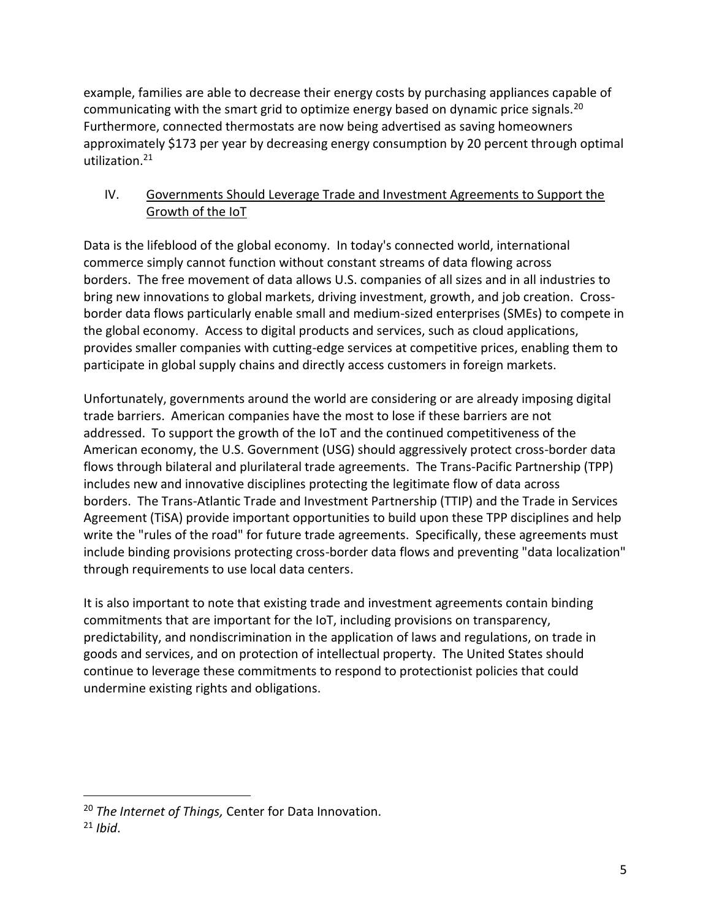example, families are able to decrease their energy costs by purchasing appliances capable of communicating with the smart grid to optimize energy based on dynamic price signals.<sup>20</sup> Furthermore, connected thermostats are now being advertised as saving homeowners approximately \$173 per year by decreasing energy consumption by 20 percent through optimal utilization.<sup>21</sup>

### IV. Governments Should Leverage Trade and Investment Agreements to Support the Growth of the IoT

Data is the lifeblood of the global economy. In today's connected world, international commerce simply cannot function without constant streams of data flowing across borders. The free movement of data allows U.S. companies of all sizes and in all industries to bring new innovations to global markets, driving investment, growth, and job creation. Crossborder data flows particularly enable small and medium-sized enterprises (SMEs) to compete in the global economy. Access to digital products and services, such as cloud applications, provides smaller companies with cutting-edge services at competitive prices, enabling them to participate in global supply chains and directly access customers in foreign markets.

Unfortunately, governments around the world are considering or are already imposing digital trade barriers. American companies have the most to lose if these barriers are not addressed. To support the growth of the IoT and the continued competitiveness of the American economy, the U.S. Government (USG) should aggressively protect cross-border data flows through bilateral and plurilateral trade agreements. The Trans-Pacific Partnership (TPP) includes new and innovative disciplines protecting the legitimate flow of data across borders. The Trans-Atlantic Trade and Investment Partnership (TTIP) and the Trade in Services Agreement (TiSA) provide important opportunities to build upon these TPP disciplines and help write the "rules of the road" for future trade agreements. Specifically, these agreements must include binding provisions protecting cross-border data flows and preventing "data localization" through requirements to use local data centers.

It is also important to note that existing trade and investment agreements contain binding commitments that are important for the IoT, including provisions on transparency, predictability, and nondiscrimination in the application of laws and regulations, on trade in goods and services, and on protection of intellectual property. The United States should continue to leverage these commitments to respond to protectionist policies that could undermine existing rights and obligations.

 $\overline{a}$ <sup>20</sup> *The Internet of Things,* Center for Data Innovation.

<sup>21</sup> *Ibid*.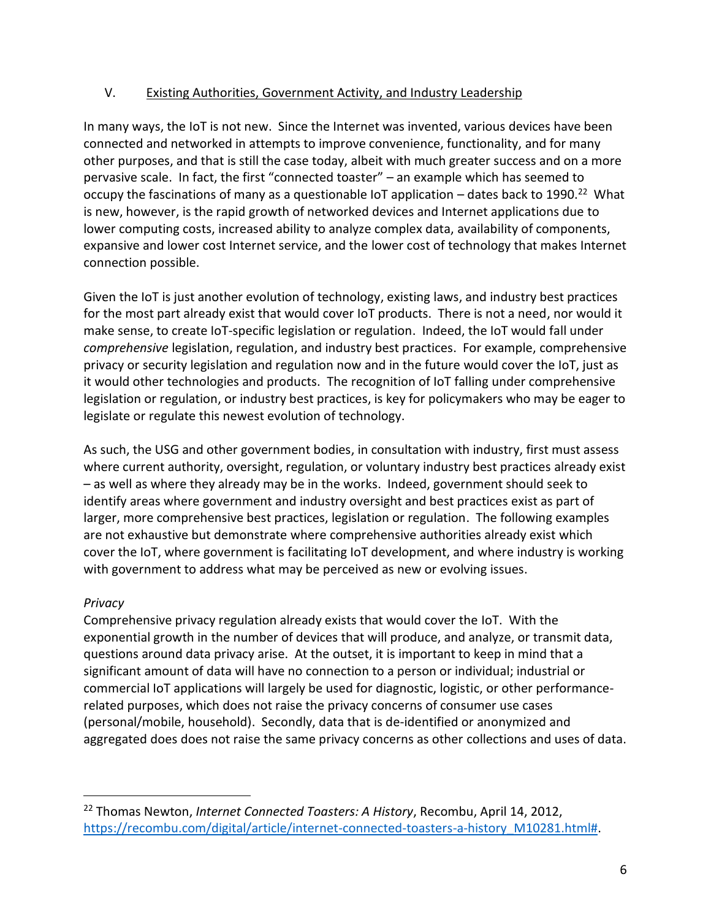### V. Existing Authorities, Government Activity, and Industry Leadership

In many ways, the IoT is not new. Since the Internet was invented, various devices have been connected and networked in attempts to improve convenience, functionality, and for many other purposes, and that is still the case today, albeit with much greater success and on a more pervasive scale. In fact, the first "connected toaster" – an example which has seemed to occupy the fascinations of many as a questionable IoT application  $-$  dates back to 1990.<sup>22</sup> What is new, however, is the rapid growth of networked devices and Internet applications due to lower computing costs, increased ability to analyze complex data, availability of components, expansive and lower cost Internet service, and the lower cost of technology that makes Internet connection possible.

Given the IoT is just another evolution of technology, existing laws, and industry best practices for the most part already exist that would cover IoT products. There is not a need, nor would it make sense, to create IoT-specific legislation or regulation. Indeed, the IoT would fall under *comprehensive* legislation, regulation, and industry best practices. For example, comprehensive privacy or security legislation and regulation now and in the future would cover the IoT, just as it would other technologies and products. The recognition of IoT falling under comprehensive legislation or regulation, or industry best practices, is key for policymakers who may be eager to legislate or regulate this newest evolution of technology.

As such, the USG and other government bodies, in consultation with industry, first must assess where current authority, oversight, regulation, or voluntary industry best practices already exist – as well as where they already may be in the works. Indeed, government should seek to identify areas where government and industry oversight and best practices exist as part of larger, more comprehensive best practices, legislation or regulation. The following examples are not exhaustive but demonstrate where comprehensive authorities already exist which cover the IoT, where government is facilitating IoT development, and where industry is working with government to address what may be perceived as new or evolving issues.

### *Privacy*

 $\overline{a}$ 

Comprehensive privacy regulation already exists that would cover the IoT. With the exponential growth in the number of devices that will produce, and analyze, or transmit data, questions around data privacy arise. At the outset, it is important to keep in mind that a significant amount of data will have no connection to a person or individual; industrial or commercial IoT applications will largely be used for diagnostic, logistic, or other performancerelated purposes, which does not raise the privacy concerns of consumer use cases (personal/mobile, household). Secondly, data that is de-identified or anonymized and aggregated does does not raise the same privacy concerns as other collections and uses of data.

<sup>22</sup> Thomas Newton, *Internet Connected Toasters: A History*, Recombu, April 14, 2012, [https://recombu.com/digital/article/internet-connected-toasters-a-history\\_M10281.html#.](https://recombu.com/digital/article/internet-connected-toasters-a-history_M10281.html)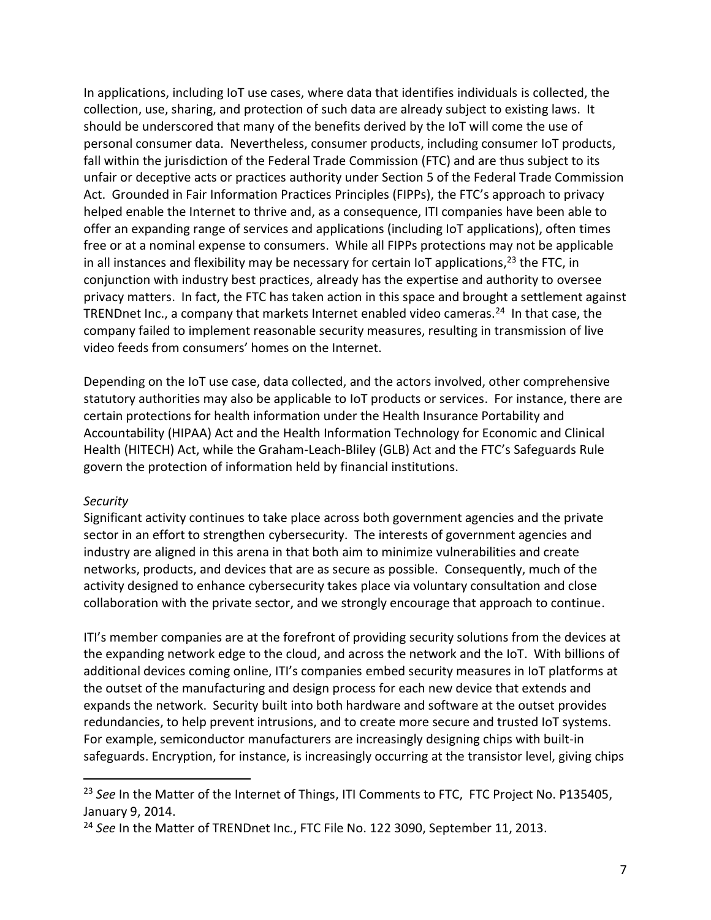In applications, including IoT use cases, where data that identifies individuals is collected, the collection, use, sharing, and protection of such data are already subject to existing laws. It should be underscored that many of the benefits derived by the IoT will come the use of personal consumer data. Nevertheless, consumer products, including consumer IoT products, fall within the jurisdiction of the Federal Trade Commission (FTC) and are thus subject to its unfair or deceptive acts or practices authority under Section 5 of the Federal Trade Commission Act. Grounded in Fair Information Practices Principles (FIPPs), the FTC's approach to privacy helped enable the Internet to thrive and, as a consequence, ITI companies have been able to offer an expanding range of services and applications (including IoT applications), often times free or at a nominal expense to consumers. While all FIPPs protections may not be applicable in all instances and flexibility may be necessary for certain IoT applications,<sup>23</sup> the FTC, in conjunction with industry best practices, already has the expertise and authority to oversee privacy matters. In fact, the FTC has taken action in this space and brought a settlement against TRENDnet Inc., a company that markets Internet enabled video cameras.<sup>24</sup> In that case, the company failed to implement reasonable security measures, resulting in transmission of live video feeds from consumers' homes on the Internet.

Depending on the IoT use case, data collected, and the actors involved, other comprehensive statutory authorities may also be applicable to IoT products or services. For instance, there are certain protections for health information under the Health Insurance Portability and Accountability (HIPAA) Act and the Health Information Technology for Economic and Clinical Health (HITECH) Act, while the Graham-Leach-Bliley (GLB) Act and the FTC's Safeguards Rule govern the protection of information held by financial institutions.

#### *Security*

 $\overline{a}$ 

Significant activity continues to take place across both government agencies and the private sector in an effort to strengthen cybersecurity. The interests of government agencies and industry are aligned in this arena in that both aim to minimize vulnerabilities and create networks, products, and devices that are as secure as possible. Consequently, much of the activity designed to enhance cybersecurity takes place via voluntary consultation and close collaboration with the private sector, and we strongly encourage that approach to continue.

ITI's member companies are at the forefront of providing security solutions from the devices at the expanding network edge to the cloud, and across the network and the IoT. With billions of additional devices coming online, ITI's companies embed security measures in IoT platforms at the outset of the manufacturing and design process for each new device that extends and expands the network. Security built into both hardware and software at the outset provides redundancies, to help prevent intrusions, and to create more secure and trusted IoT systems. For example, semiconductor manufacturers are increasingly designing chips with built-in safeguards. Encryption, for instance, is increasingly occurring at the transistor level, giving chips

<sup>23</sup> *See* In the Matter of the Internet of Things, ITI Comments to FTC, FTC Project No. P135405, January 9, 2014.

<sup>24</sup> *See* In the Matter of TRENDnet Inc*.*, FTC File No. 122 3090, September 11, 2013.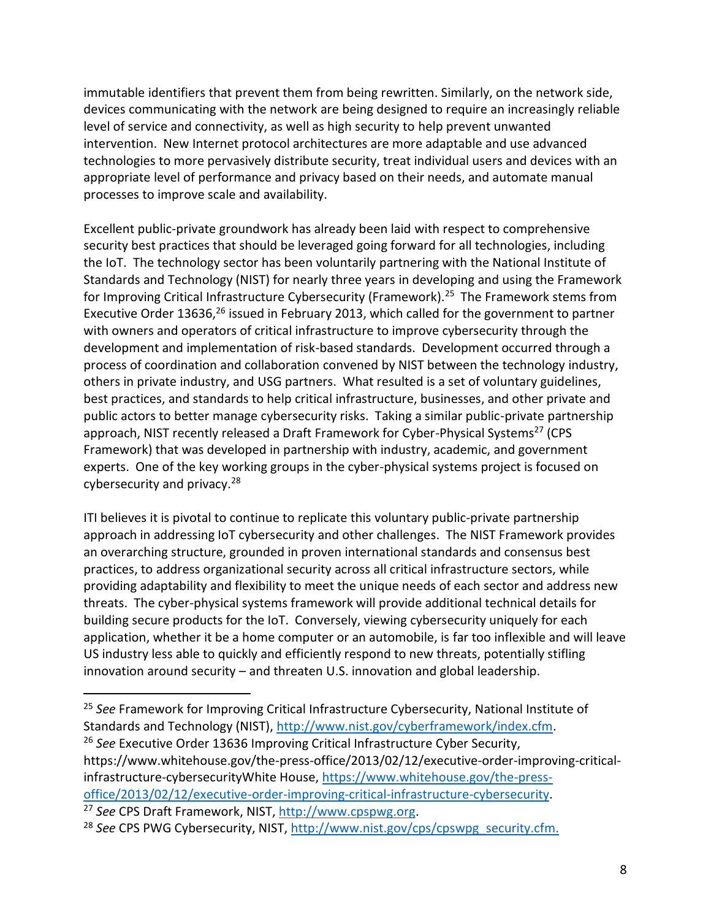immutable identifiers that prevent them from being rewritten. Similarly, on the network side, devices communicating with the network are being designed to require an increasingly reliable level of service and connectivity, as well as high security to help prevent unwanted intervention. New Internet protocol architectures are more adaptable and use advanced technologies to more pervasively distribute security, treat individual users and devices with an appropriate level of performance and privacy based on their needs, and automate manual processes to improve scale and availability.

Excellent public-private groundwork has already been laid with respect to comprehensive security best practices that should be leveraged going forward for all technologies, including the IoT. The technology sector has been voluntarily partnering with the National Institute of Standards and Technology (NIST) for nearly three years in developing and using the Framework for Improving Critical Infrastructure Cybersecurity (Framework).<sup>25</sup> The Framework stems from Executive Order 13636,<sup>26</sup> issued in February 2013, which called for the government to partner with owners and operators of critical infrastructure to improve cybersecurity through the development and implementation of risk-based standards. Development occurred through a process of coordination and collaboration convened by NIST between the technology industry, others in private industry, and USG partners. What resulted is a set of voluntary guidelines, best practices, and standards to help critical infrastructure, businesses, and other private and public actors to better manage cybersecurity risks. Taking a similar public-private partnership approach, NIST recently released a Draft Framework for Cyber-Physical Systems<sup>27</sup> (CPS Framework) that was developed in partnership with industry, academic, and government experts. One of the key working groups in the cyber-physical systems project is focused on cybersecurity and privacy.<sup>28</sup>

ITI believes it is pivotal to continue to replicate this voluntary public-private partnership approach in addressing IoT cybersecurity and other challenges. The NIST Framework provides an overarching structure, grounded in proven international standards and consensus best practices, to address organizational security across all critical infrastructure sectors, while providing adaptability and flexibility to meet the unique needs of each sector and address new threats. The cyber-physical systems framework will provide additional technical details for building secure products for the IoT. Conversely, viewing cybersecurity uniquely for each application, whether it be a home computer or an automobile, is far too inflexible and will leave US industry less able to quickly and efficiently respond to new threats, potentially stifling innovation around security – and threaten U.S. innovation and global leadership.

<sup>25</sup> *See* Framework for Improving Critical Infrastructure Cybersecurity, National Institute of Standards and Technology (NIST), [http://www.nist.gov/cyberframework/index.cfm.](http://www.nist.gov/cyberframework/index.cfm) <sup>26</sup> *See* Executive Order 13636 Improving Critical Infrastructure Cyber Security, https://www.whitehouse.gov/the-press-office/2013/02/12/executive-order-improving-criticalinfrastructure-cybersecurityWhite House, [https://www.whitehouse.gov/the-press](https://www.whitehouse.gov/the-press-office/2013/02/12/executive-order-improving-critical-infrastructure-cybersecurity)[office/2013/02/12/executive-order-improving-critical-infrastructure-cybersecurity.](https://www.whitehouse.gov/the-press-office/2013/02/12/executive-order-improving-critical-infrastructure-cybersecurity) <sup>27</sup> *See* CPS Draft Framework, NIST, [http://www.cpspwg.org.](http://www.cpspwg.org/)

<sup>&</sup>lt;sup>28</sup> See CPS PWG Cybersecurity, NIST, [http://www.nist.gov/cps/cpswpg\\_security.cfm.](http://www.nist.gov/cps/cpswpg_security.cfm)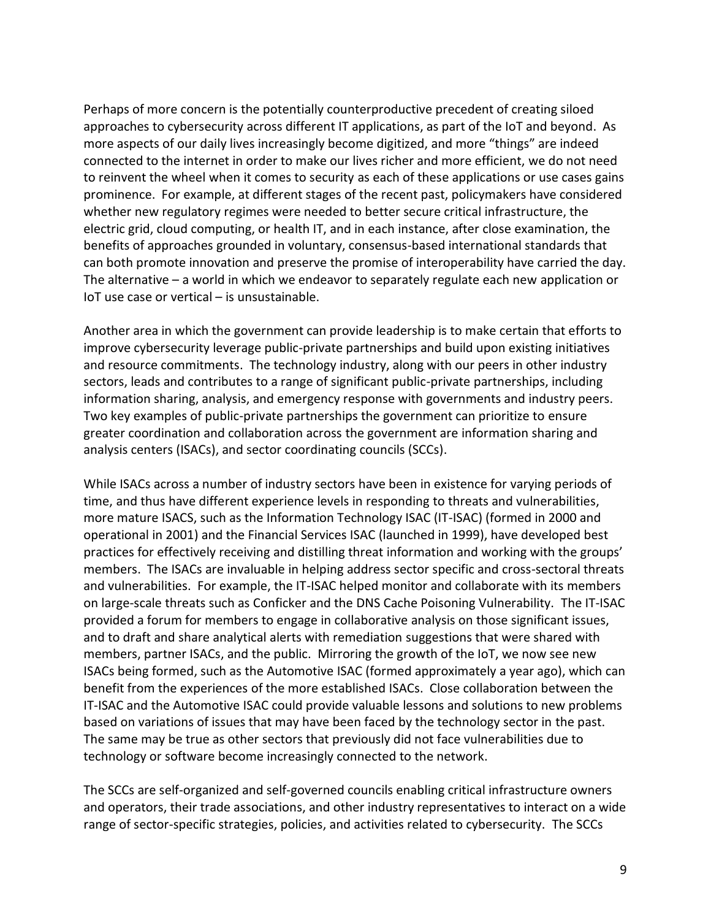Perhaps of more concern is the potentially counterproductive precedent of creating siloed approaches to cybersecurity across different IT applications, as part of the IoT and beyond. As more aspects of our daily lives increasingly become digitized, and more "things" are indeed connected to the internet in order to make our lives richer and more efficient, we do not need to reinvent the wheel when it comes to security as each of these applications or use cases gains prominence. For example, at different stages of the recent past, policymakers have considered whether new regulatory regimes were needed to better secure critical infrastructure, the electric grid, cloud computing, or health IT, and in each instance, after close examination, the benefits of approaches grounded in voluntary, consensus-based international standards that can both promote innovation and preserve the promise of interoperability have carried the day. The alternative – a world in which we endeavor to separately regulate each new application or IoT use case or vertical – is unsustainable.

Another area in which the government can provide leadership is to make certain that efforts to improve cybersecurity leverage public-private partnerships and build upon existing initiatives and resource commitments. The technology industry, along with our peers in other industry sectors, leads and contributes to a range of significant public-private partnerships, including information sharing, analysis, and emergency response with governments and industry peers. Two key examples of public-private partnerships the government can prioritize to ensure greater coordination and collaboration across the government are information sharing and analysis centers (ISACs), and sector coordinating councils (SCCs).

While ISACs across a number of industry sectors have been in existence for varying periods of time, and thus have different experience levels in responding to threats and vulnerabilities, more mature ISACS, such as the Information Technology ISAC (IT-ISAC) (formed in 2000 and operational in 2001) and the Financial Services ISAC (launched in 1999), have developed best practices for effectively receiving and distilling threat information and working with the groups' members. The ISACs are invaluable in helping address sector specific and cross-sectoral threats and vulnerabilities. For example, the IT-ISAC helped monitor and collaborate with its members on large-scale threats such as Conficker and the DNS Cache Poisoning Vulnerability. The IT-ISAC provided a forum for members to engage in collaborative analysis on those significant issues, and to draft and share analytical alerts with remediation suggestions that were shared with members, partner ISACs, and the public. Mirroring the growth of the IoT, we now see new ISACs being formed, such as the Automotive ISAC (formed approximately a year ago), which can benefit from the experiences of the more established ISACs. Close collaboration between the IT-ISAC and the Automotive ISAC could provide valuable lessons and solutions to new problems based on variations of issues that may have been faced by the technology sector in the past. The same may be true as other sectors that previously did not face vulnerabilities due to technology or software become increasingly connected to the network.

The SCCs are self-organized and self-governed councils enabling critical infrastructure owners and operators, their trade associations, and other industry representatives to interact on a wide range of sector-specific strategies, policies, and activities related to cybersecurity. The SCCs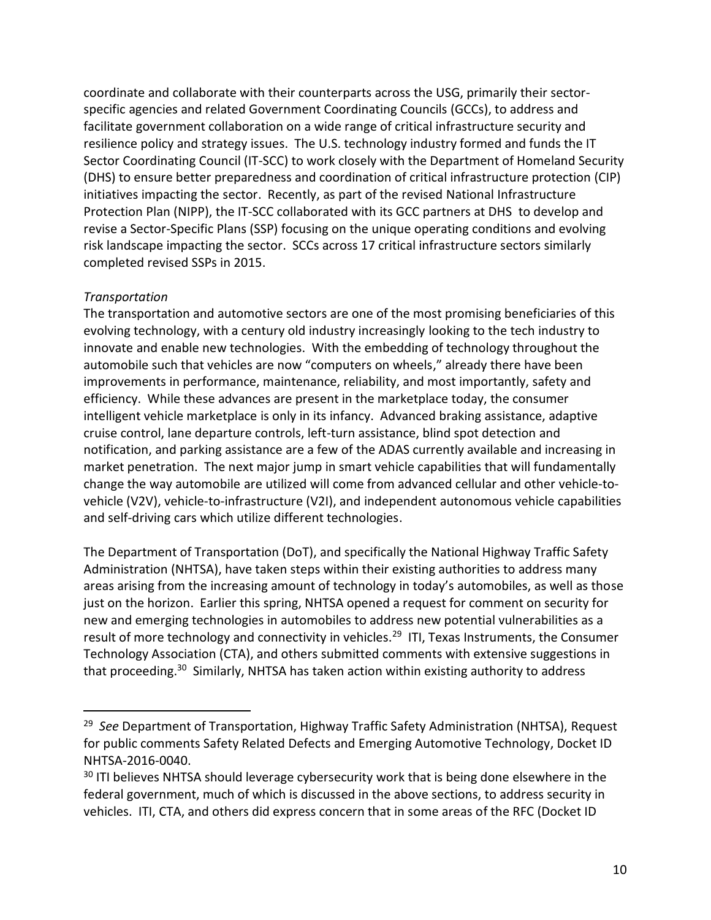coordinate and collaborate with their counterparts across the USG, primarily their sectorspecific agencies and related Government Coordinating Councils (GCCs), to address and facilitate government collaboration on a wide range of critical infrastructure security and resilience policy and strategy issues. The U.S. technology industry formed and funds the IT Sector Coordinating Council (IT-SCC) to work closely with the Department of Homeland Security (DHS) to ensure better preparedness and coordination of critical infrastructure protection (CIP) initiatives impacting the sector. Recently, as part of the revised National Infrastructure Protection Plan (NIPP), the IT-SCC collaborated with its GCC partners at DHS to develop and revise a Sector-Specific Plans (SSP) focusing on the unique operating conditions and evolving risk landscape impacting the sector. SCCs across 17 critical infrastructure sectors similarly completed revised SSPs in 2015.

#### *Transportation*

 $\overline{a}$ 

The transportation and automotive sectors are one of the most promising beneficiaries of this evolving technology, with a century old industry increasingly looking to the tech industry to innovate and enable new technologies. With the embedding of technology throughout the automobile such that vehicles are now "computers on wheels," already there have been improvements in performance, maintenance, reliability, and most importantly, safety and efficiency. While these advances are present in the marketplace today, the consumer intelligent vehicle marketplace is only in its infancy. Advanced braking assistance, adaptive cruise control, lane departure controls, left-turn assistance, blind spot detection and notification, and parking assistance are a few of the ADAS currently available and increasing in market penetration. The next major jump in smart vehicle capabilities that will fundamentally change the way automobile are utilized will come from advanced cellular and other vehicle-tovehicle (V2V), vehicle-to-infrastructure (V2I), and independent autonomous vehicle capabilities and self-driving cars which utilize different technologies.

The Department of Transportation (DoT), and specifically the National Highway Traffic Safety Administration (NHTSA), have taken steps within their existing authorities to address many areas arising from the increasing amount of technology in today's automobiles, as well as those just on the horizon. Earlier this spring, NHTSA opened a request for comment on security for new and emerging technologies in automobiles to address new potential vulnerabilities as a result of more technology and connectivity in vehicles.<sup>29</sup> ITI, Texas Instruments, the Consumer Technology Association (CTA), and others submitted comments with extensive suggestions in that proceeding.<sup>30</sup> Similarly, NHTSA has taken action within existing authority to address

<sup>29</sup> *See* Department of Transportation, Highway Traffic Safety Administration (NHTSA), Request for public comments Safety Related Defects and Emerging Automotive Technology, Docket ID NHTSA-2016-0040.

 $30$  ITI believes NHTSA should leverage cybersecurity work that is being done elsewhere in the federal government, much of which is discussed in the above sections, to address security in vehicles. ITI, CTA, and others did express concern that in some areas of the RFC (Docket ID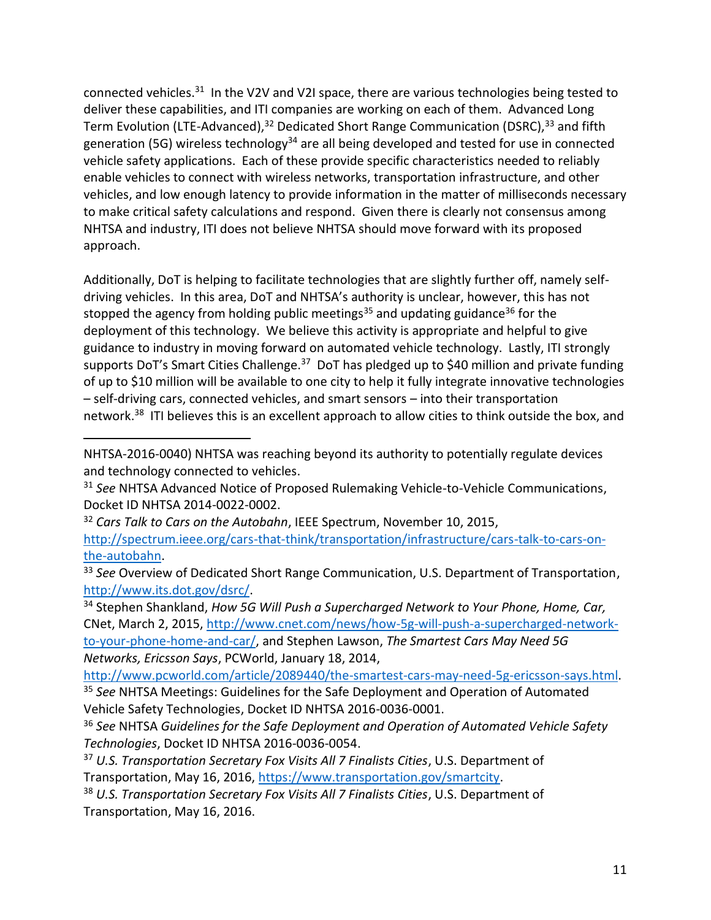connected vehicles.<sup>31</sup> In the V2V and V2I space, there are various technologies being tested to deliver these capabilities, and ITI companies are working on each of them. Advanced Long Term Evolution (LTE-Advanced),<sup>32</sup> Dedicated Short Range Communication (DSRC),<sup>33</sup> and fifth generation (5G) wireless technology<sup>34</sup> are all being developed and tested for use in connected vehicle safety applications. Each of these provide specific characteristics needed to reliably enable vehicles to connect with wireless networks, transportation infrastructure, and other vehicles, and low enough latency to provide information in the matter of milliseconds necessary to make critical safety calculations and respond. Given there is clearly not consensus among NHTSA and industry, ITI does not believe NHTSA should move forward with its proposed approach.

Additionally, DoT is helping to facilitate technologies that are slightly further off, namely selfdriving vehicles. In this area, DoT and NHTSA's authority is unclear, however, this has not stopped the agency from holding public meetings<sup>35</sup> and updating guidance<sup>36</sup> for the deployment of this technology. We believe this activity is appropriate and helpful to give guidance to industry in moving forward on automated vehicle technology. Lastly, ITI strongly supports DoT's Smart Cities Challenge.<sup>37</sup> DoT has pledged up to \$40 million and private funding of up to \$10 million will be available to one city to help it fully integrate innovative technologies – self-driving cars, connected vehicles, and smart sensors – into their transportation network.<sup>38</sup> ITI believes this is an excellent approach to allow cities to think outside the box, and

 $\overline{a}$ 

<sup>34</sup> Stephen Shankland, *How 5G Will Push a Supercharged Network to Your Phone, Home, Car,*  CNet, March 2, 2015, [http://www.cnet.com/news/how-5g-will-push-a-supercharged-network](http://www.cnet.com/news/how-5g-will-push-a-supercharged-network-to-your-phone-home-and-car/)[to-your-phone-home-and-car/,](http://www.cnet.com/news/how-5g-will-push-a-supercharged-network-to-your-phone-home-and-car/) and Stephen Lawson, *The Smartest Cars May Need 5G Networks, Ericsson Says*, PCWorld, January 18, 2014,

[http://www.pcworld.com/article/2089440/the-smartest-cars-may-need-5g-ericsson-says.html.](http://www.pcworld.com/article/2089440/the-smartest-cars-may-need-5g-ericsson-says.html)

<sup>35</sup> *See* NHTSA Meetings: Guidelines for the Safe Deployment and Operation of Automated Vehicle Safety Technologies, Docket ID NHTSA 2016-0036-0001.

NHTSA-2016-0040) NHTSA was reaching beyond its authority to potentially regulate devices and technology connected to vehicles.

<sup>31</sup> *See* NHTSA Advanced Notice of Proposed Rulemaking Vehicle-to-Vehicle Communications, Docket ID NHTSA 2014-0022-0002.

<sup>32</sup> *Cars Talk to Cars on the Autobahn*, IEEE Spectrum, November 10, 2015,

[http://spectrum.ieee.org/cars-that-think/transportation/infrastructure/cars-talk-to-cars-on](http://spectrum.ieee.org/cars-that-think/transportation/infrastructure/cars-talk-to-cars-on-the-autobahn)[the-autobahn.](http://spectrum.ieee.org/cars-that-think/transportation/infrastructure/cars-talk-to-cars-on-the-autobahn)

<sup>&</sup>lt;sup>33</sup> See Overview of Dedicated Short Range Communication, U.S. Department of Transportation, [http://www.its.dot.gov/dsrc/.](http://www.its.dot.gov/dsrc/)

<sup>36</sup> *See* NHTSA *Guidelines for the Safe Deployment and Operation of Automated Vehicle Safety Technologies*, Docket ID NHTSA 2016-0036-0054.

<sup>37</sup> *U.S. Transportation Secretary Fox Visits All 7 Finalists Cities*, U.S. Department of Transportation, May 16, 2016, [https://www.transportation.gov/smartcity.](https://www.transportation.gov/smartcity)

<sup>38</sup> *U.S. Transportation Secretary Fox Visits All 7 Finalists Cities*, U.S. Department of Transportation, May 16, 2016.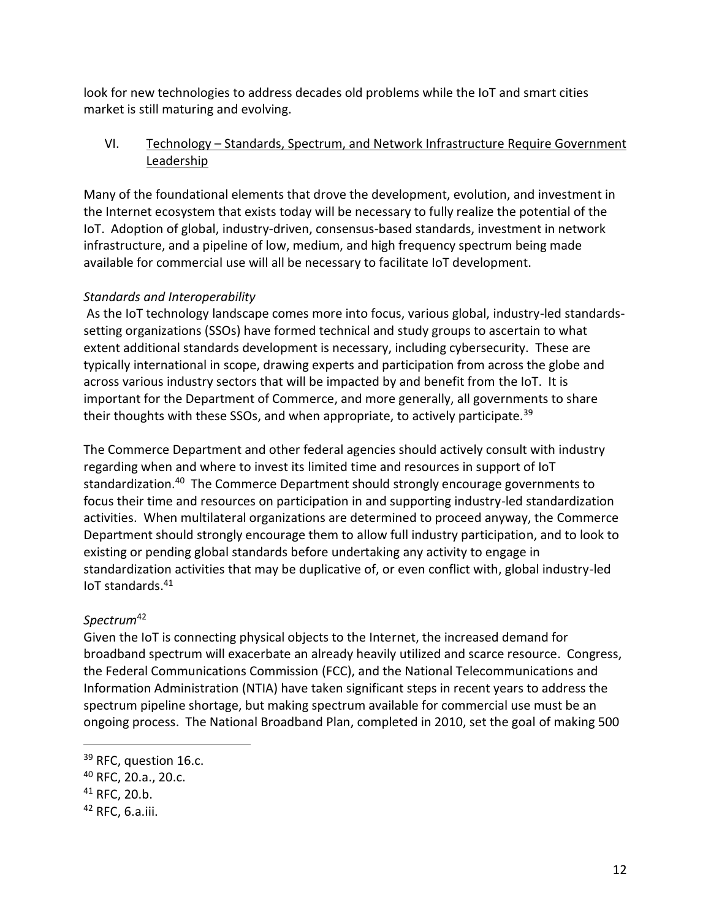look for new technologies to address decades old problems while the IoT and smart cities market is still maturing and evolving.

### VI. Technology – Standards, Spectrum, and Network Infrastructure Require Government Leadership

Many of the foundational elements that drove the development, evolution, and investment in the Internet ecosystem that exists today will be necessary to fully realize the potential of the IoT. Adoption of global, industry-driven, consensus-based standards, investment in network infrastructure, and a pipeline of low, medium, and high frequency spectrum being made available for commercial use will all be necessary to facilitate IoT development.

### *Standards and Interoperability*

As the IoT technology landscape comes more into focus, various global, industry-led standardssetting organizations (SSOs) have formed technical and study groups to ascertain to what extent additional standards development is necessary, including cybersecurity. These are typically international in scope, drawing experts and participation from across the globe and across various industry sectors that will be impacted by and benefit from the IoT. It is important for the Department of Commerce, and more generally, all governments to share their thoughts with these SSOs, and when appropriate, to actively participate.<sup>39</sup>

The Commerce Department and other federal agencies should actively consult with industry regarding when and where to invest its limited time and resources in support of IoT standardization.<sup>40</sup> The Commerce Department should strongly encourage governments to focus their time and resources on participation in and supporting industry-led standardization activities. When multilateral organizations are determined to proceed anyway, the Commerce Department should strongly encourage them to allow full industry participation, and to look to existing or pending global standards before undertaking any activity to engage in standardization activities that may be duplicative of, or even conflict with, global industry-led IoT standards.<sup>41</sup>

# *Spectrum*<sup>42</sup>

Given the IoT is connecting physical objects to the Internet, the increased demand for broadband spectrum will exacerbate an already heavily utilized and scarce resource. Congress, the Federal Communications Commission (FCC), and the National Telecommunications and Information Administration (NTIA) have taken significant steps in recent years to address the spectrum pipeline shortage, but making spectrum available for commercial use must be an ongoing process. The National Broadband Plan, completed in 2010, set the goal of making 500

<sup>&</sup>lt;sup>39</sup> RFC, question 16.c.

<sup>40</sup> RFC, 20.a., 20.c.

 $41$  RFC, 20.b.

 $42$  RFC, 6.a.iii.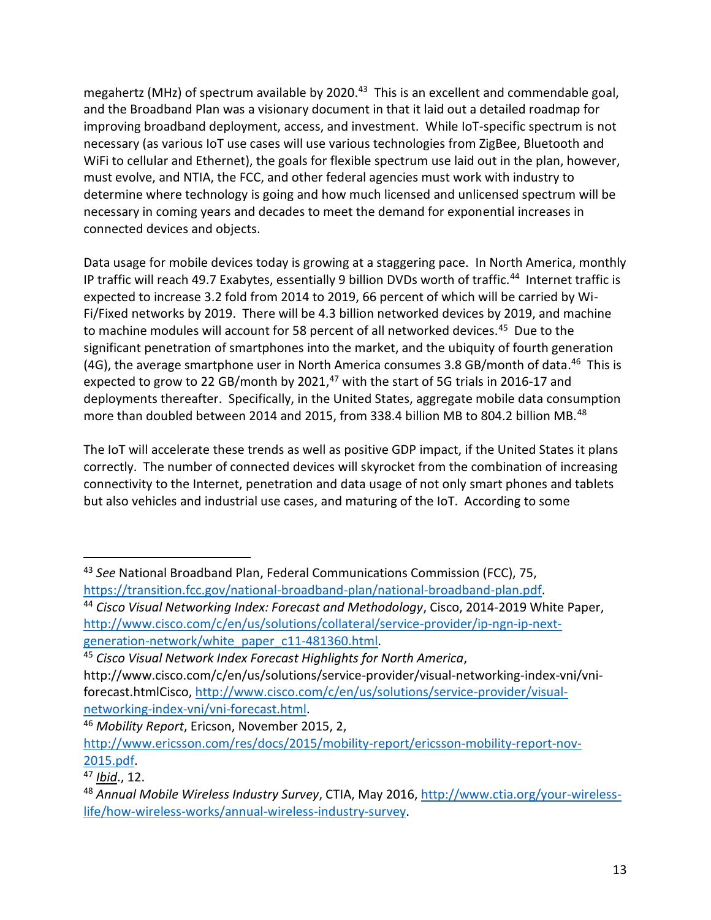megahertz (MHz) of spectrum available by 2020.<sup>43</sup> This is an excellent and commendable goal, and the Broadband Plan was a visionary document in that it laid out a detailed roadmap for improving broadband deployment, access, and investment. While IoT-specific spectrum is not necessary (as various IoT use cases will use various technologies from ZigBee, Bluetooth and WiFi to cellular and Ethernet), the goals for flexible spectrum use laid out in the plan, however, must evolve, and NTIA, the FCC, and other federal agencies must work with industry to determine where technology is going and how much licensed and unlicensed spectrum will be necessary in coming years and decades to meet the demand for exponential increases in connected devices and objects.

Data usage for mobile devices today is growing at a staggering pace. In North America, monthly IP traffic will reach 49.7 Exabytes, essentially 9 billion DVDs worth of traffic.<sup>44</sup> Internet traffic is expected to increase 3.2 fold from 2014 to 2019, 66 percent of which will be carried by Wi-Fi/Fixed networks by 2019. There will be 4.3 billion networked devices by 2019, and machine to machine modules will account for 58 percent of all networked devices.<sup>45</sup> Due to the significant penetration of smartphones into the market, and the ubiquity of fourth generation (4G), the average smartphone user in North America consumes 3.8 GB/month of data.<sup>46</sup> This is expected to grow to 22 GB/month by 2021,<sup>47</sup> with the start of 5G trials in 2016-17 and deployments thereafter. Specifically, in the United States, aggregate mobile data consumption more than doubled between 2014 and 2015, from 338.4 billion MB to 804.2 billion MB.<sup>48</sup>

The IoT will accelerate these trends as well as positive GDP impact, if the United States it plans correctly. The number of connected devices will skyrocket from the combination of increasing connectivity to the Internet, penetration and data usage of not only smart phones and tablets but also vehicles and industrial use cases, and maturing of the IoT. According to some

<sup>43</sup> *See* National Broadband Plan, Federal Communications Commission (FCC), 75, [https://transition.fcc.gov/national-broadband-plan/national-broadband-plan.pdf.](https://transition.fcc.gov/national-broadband-plan/national-broadband-plan.pdf)

<sup>44</sup> *Cisco Visual Networking Index: Forecast and Methodology*, Cisco, 2014-2019 White Paper, [http://www.cisco.com/c/en/us/solutions/collateral/service-provider/ip-ngn-ip-next](http://www.cisco.com/c/en/us/solutions/collateral/service-provider/ip-ngn-ip-next-generation-network/white_paper_c11-481360.html)[generation-network/white\\_paper\\_c11-481360.html.](http://www.cisco.com/c/en/us/solutions/collateral/service-provider/ip-ngn-ip-next-generation-network/white_paper_c11-481360.html)

<sup>45</sup> *Cisco Visual Network Index Forecast Highlights for North America*, http://www.cisco.com/c/en/us/solutions/service-provider/visual-networking-index-vni/vniforecast.htmlCisco, [http://www.cisco.com/c/en/us/solutions/service-provider/visual](http://www.cisco.com/c/en/us/solutions/service-provider/visual-networking-index-vni/vni-forecast.html)[networking-index-vni/vni-forecast.html.](http://www.cisco.com/c/en/us/solutions/service-provider/visual-networking-index-vni/vni-forecast.html)

<sup>46</sup> *Mobility Report*, Ericson, November 2015, 2, [http://www.ericsson.com/res/docs/2015/mobility-report/ericsson-mobility-report-nov-](http://www.ericsson.com/res/docs/2015/mobility-report/ericsson-mobility-report-nov-2015.pdf)[2015.pdf.](http://www.ericsson.com/res/docs/2015/mobility-report/ericsson-mobility-report-nov-2015.pdf)

<sup>47</sup> *Ibid*., 12.

<sup>48</sup> *Annual Mobile Wireless Industry Survey*, CTIA, May 2016[, http://www.ctia.org/your-wireless](http://www.ctia.org/your-wireless-life/how-wireless-works/annual-wireless-industry-survey)[life/how-wireless-works/annual-wireless-industry-survey.](http://www.ctia.org/your-wireless-life/how-wireless-works/annual-wireless-industry-survey)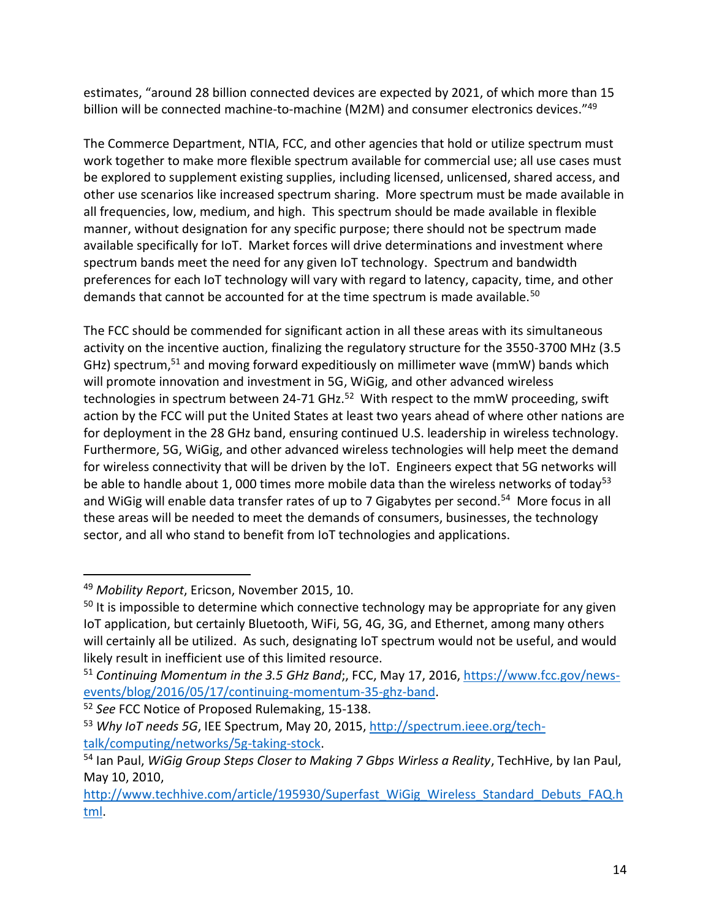estimates, "around 28 billion connected devices are expected by 2021, of which more than 15 billion will be connected machine-to-machine (M2M) and consumer electronics devices."<sup>49</sup>

The Commerce Department, NTIA, FCC, and other agencies that hold or utilize spectrum must work together to make more flexible spectrum available for commercial use; all use cases must be explored to supplement existing supplies, including licensed, unlicensed, shared access, and other use scenarios like increased spectrum sharing. More spectrum must be made available in all frequencies, low, medium, and high. This spectrum should be made available in flexible manner, without designation for any specific purpose; there should not be spectrum made available specifically for IoT. Market forces will drive determinations and investment where spectrum bands meet the need for any given IoT technology. Spectrum and bandwidth preferences for each IoT technology will vary with regard to latency, capacity, time, and other demands that cannot be accounted for at the time spectrum is made available.<sup>50</sup>

The FCC should be commended for significant action in all these areas with its simultaneous activity on the incentive auction, finalizing the regulatory structure for the 3550-3700 MHz (3.5 GHz) spectrum,<sup>51</sup> and moving forward expeditiously on millimeter wave (mmW) bands which will promote innovation and investment in 5G, WiGig, and other advanced wireless technologies in spectrum between 24-71 GHz.<sup>52</sup> With respect to the mmW proceeding, swift action by the FCC will put the United States at least two years ahead of where other nations are for deployment in the 28 GHz band, ensuring continued U.S. leadership in wireless technology. Furthermore, 5G, WiGig, and other advanced wireless technologies will help meet the demand for wireless connectivity that will be driven by the IoT. Engineers expect that 5G networks will be able to handle about 1, 000 times more mobile data than the wireless networks of today<sup>53</sup> and WiGig will enable data transfer rates of up to 7 Gigabytes per second.<sup>54</sup> More focus in all these areas will be needed to meet the demands of consumers, businesses, the technology sector, and all who stand to benefit from IoT technologies and applications.

<sup>49</sup> *Mobility Report*, Ericson, November 2015, 10.

<sup>&</sup>lt;sup>50</sup> It is impossible to determine which connective technology may be appropriate for any given IoT application, but certainly Bluetooth, WiFi, 5G, 4G, 3G, and Ethernet, among many others will certainly all be utilized. As such, designating IoT spectrum would not be useful, and would likely result in inefficient use of this limited resource.

<sup>51</sup> *Continuing Momentum in the 3.5 GHz Band*;, FCC, May 17, 2016, [https://www.fcc.gov/news](https://www.fcc.gov/news-events/blog/2016/05/17/continuing-momentum-35-ghz-band)[events/blog/2016/05/17/continuing-momentum-35-ghz-band.](https://www.fcc.gov/news-events/blog/2016/05/17/continuing-momentum-35-ghz-band)

<sup>52</sup> *See* FCC Notice of Proposed Rulemaking, 15-138.

<sup>53</sup> Why IoT needs 5G, IEE Spectrum, May 20, 2015, [http://spectrum.ieee.org/tech](http://spectrum.ieee.org/tech-talk/computing/networks/5g-taking-stock)[talk/computing/networks/5g-taking-stock.](http://spectrum.ieee.org/tech-talk/computing/networks/5g-taking-stock)

<sup>54</sup> Ian Paul, *WiGig Group Steps Closer to Making 7 Gbps Wirless a Reality*, TechHive, by Ian Paul, May 10, 2010,

[http://www.techhive.com/article/195930/Superfast\\_WiGig\\_Wireless\\_Standard\\_Debuts\\_FAQ.h](http://www.techhive.com/article/195930/Superfast_WiGig_Wireless_Standard_Debuts_FAQ.html) [tml.](http://www.techhive.com/article/195930/Superfast_WiGig_Wireless_Standard_Debuts_FAQ.html)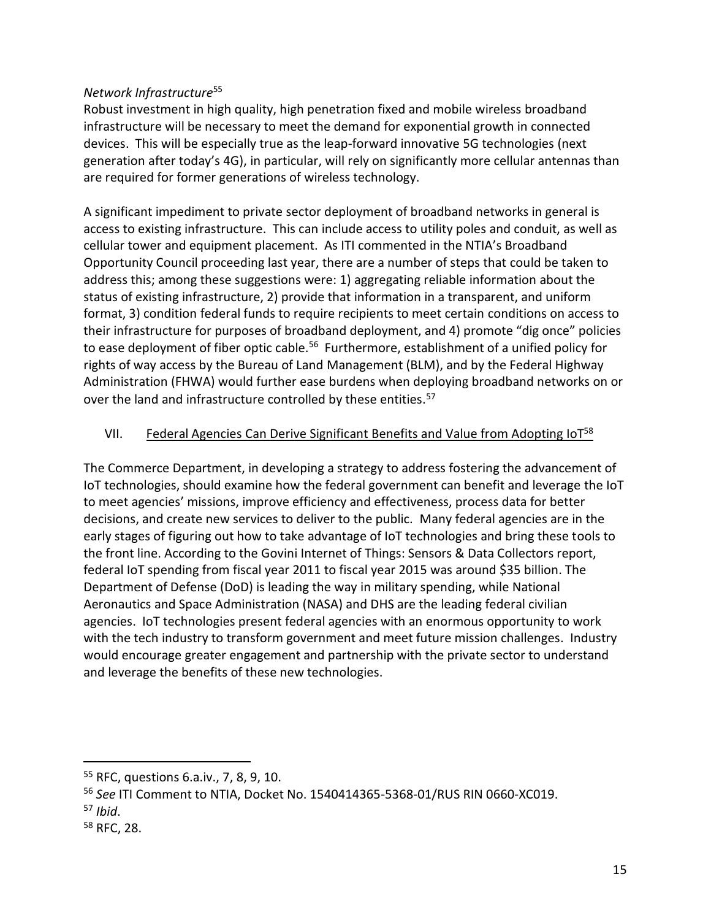### *Network Infrastructure*<sup>55</sup>

Robust investment in high quality, high penetration fixed and mobile wireless broadband infrastructure will be necessary to meet the demand for exponential growth in connected devices. This will be especially true as the leap-forward innovative 5G technologies (next generation after today's 4G), in particular, will rely on significantly more cellular antennas than are required for former generations of wireless technology.

A significant impediment to private sector deployment of broadband networks in general is access to existing infrastructure. This can include access to utility poles and conduit, as well as cellular tower and equipment placement. As ITI commented in the NTIA's Broadband Opportunity Council proceeding last year, there are a number of steps that could be taken to address this; among these suggestions were: 1) aggregating reliable information about the status of existing infrastructure, 2) provide that information in a transparent, and uniform format, 3) condition federal funds to require recipients to meet certain conditions on access to their infrastructure for purposes of broadband deployment, and 4) promote "dig once" policies to ease deployment of fiber optic cable.<sup>56</sup> Furthermore, establishment of a unified policy for rights of way access by the Bureau of Land Management (BLM), and by the Federal Highway Administration (FHWA) would further ease burdens when deploying broadband networks on or over the land and infrastructure controlled by these entities.<sup>57</sup>

### VII. Federal Agencies Can Derive Significant Benefits and Value from Adopting IoT<sup>58</sup>

The Commerce Department, in developing a strategy to address fostering the advancement of IoT technologies, should examine how the federal government can benefit and leverage the IoT to meet agencies' missions, improve efficiency and effectiveness, process data for better decisions, and create new services to deliver to the public. Many federal agencies are in the early stages of figuring out how to take advantage of IoT technologies and bring these tools to the front line. According to the Govini Internet of Things: Sensors & Data Collectors report, federal IoT spending from fiscal year 2011 to fiscal year 2015 was around \$35 billion. The Department of Defense (DoD) is leading the way in military spending, while National Aeronautics and Space Administration (NASA) and DHS are the leading federal civilian agencies. IoT technologies present federal agencies with an enormous opportunity to work with the tech industry to transform government and meet future mission challenges. Industry would encourage greater engagement and partnership with the private sector to understand and leverage the benefits of these new technologies.

<sup>55</sup> RFC, questions 6.a.iv., 7, 8, 9, 10.

<sup>56</sup> *See* ITI Comment to NTIA, Docket No. 1540414365-5368-01/RUS RIN 0660-XC019.

<sup>57</sup> *Ibid*.

<sup>58</sup> RFC, 28.